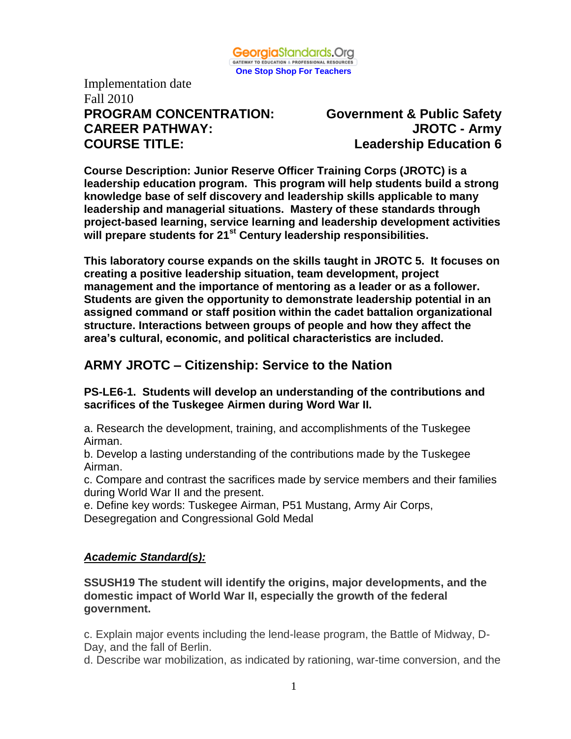

Implementation date Fall 2010 **PROGRAM CONCENTRATION: Government & Public Safety CAREER PATHWAY: JROTC - Army COURSE TITLE: Leadership Education 6** 

**Course Description: Junior Reserve Officer Training Corps (JROTC) is a leadership education program. This program will help students build a strong knowledge base of self discovery and leadership skills applicable to many leadership and managerial situations. Mastery of these standards through project-based learning, service learning and leadership development activities will prepare students for 21st Century leadership responsibilities.**

**This laboratory course expands on the skills taught in JROTC 5. It focuses on creating a positive leadership situation, team development, project management and the importance of mentoring as a leader or as a follower. Students are given the opportunity to demonstrate leadership potential in an assigned command or staff position within the cadet battalion organizational structure. Interactions between groups of people and how they affect the area's cultural, economic, and political characteristics are included.**

# **ARMY JROTC – Citizenship: Service to the Nation**

#### **PS-LE6-1. Students will develop an understanding of the contributions and sacrifices of the Tuskegee Airmen during Word War II.**

a. Research the development, training, and accomplishments of the Tuskegee Airman.

b. Develop a lasting understanding of the contributions made by the Tuskegee Airman.

c. Compare and contrast the sacrifices made by service members and their families during World War II and the present.

e. Define key words: Tuskegee Airman, P51 Mustang, Army Air Corps, Desegregation and Congressional Gold Medal

#### *Academic Standard(s):*

**SSUSH19 The student will identify the origins, major developments, and the domestic impact of World War II, especially the growth of the federal government.**

c. Explain major events including the lend-lease program, the Battle of Midway, D-Day, and the fall of Berlin.

d. Describe war mobilization, as indicated by rationing, war-time conversion, and the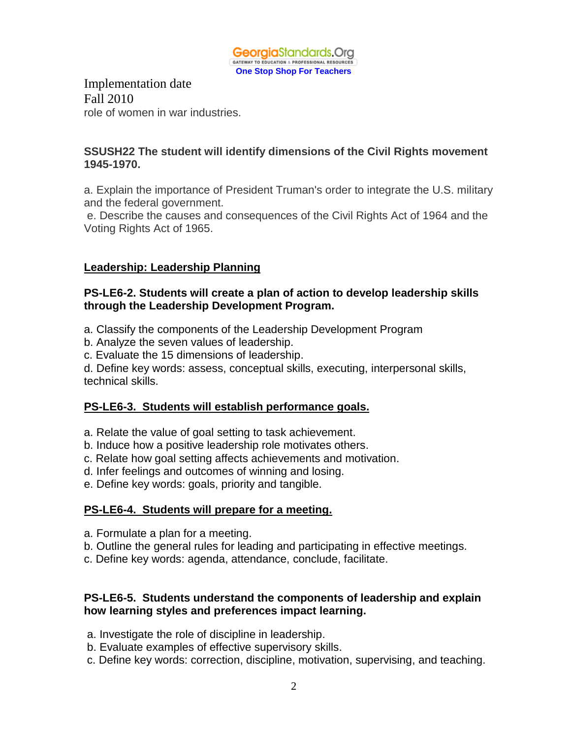

Implementation date Fall 2010 role of women in war industries.

#### **SSUSH22 The student will identify dimensions of the Civil Rights movement 1945-1970.**

a. Explain the importance of President Truman's order to integrate the U.S. military and the federal government.

e. Describe the causes and consequences of the Civil Rights Act of 1964 and the Voting Rights Act of 1965.

#### **Leadership: Leadership Planning**

#### **PS-LE6-2. Students will create a plan of action to develop leadership skills through the Leadership Development Program.**

- a. Classify the components of the Leadership Development Program
- b. Analyze the seven values of leadership.
- c. Evaluate the 15 dimensions of leadership.

d. Define key words: assess, conceptual skills, executing, interpersonal skills, technical skills.

#### **PS-LE6-3. Students will establish performance goals.**

- a. Relate the value of goal setting to task achievement.
- b. Induce how a positive leadership role motivates others.
- c. Relate how goal setting affects achievements and motivation.
- d. Infer feelings and outcomes of winning and losing.
- e. Define key words: goals, priority and tangible.

#### **PS-LE6-4. Students will prepare for a meeting.**

- a. Formulate a plan for a meeting.
- b. Outline the general rules for leading and participating in effective meetings.
- c. Define key words: agenda, attendance, conclude, facilitate.

#### **PS-LE6-5. Students understand the components of leadership and explain how learning styles and preferences impact learning.**

- a. Investigate the role of discipline in leadership.
- b. Evaluate examples of effective supervisory skills.
- c. Define key words: correction, discipline, motivation, supervising, and teaching.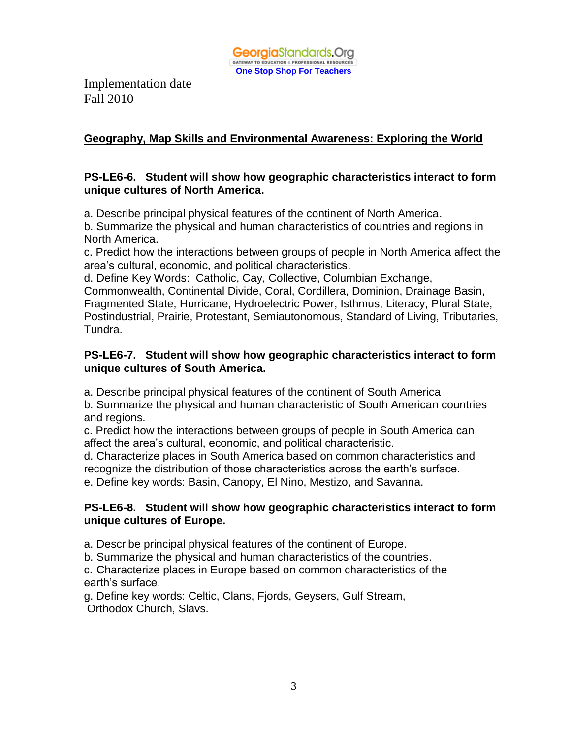

## **Geography, Map Skills and Environmental Awareness: Exploring the World**

#### **PS-LE6-6. Student will show how geographic characteristics interact to form unique cultures of North America.**

a. Describe principal physical features of the continent of North America.

b. Summarize the physical and human characteristics of countries and regions in North America.

c. Predict how the interactions between groups of people in North America affect the area's cultural, economic, and political characteristics.

d. Define Key Words: Catholic, Cay, Collective, Columbian Exchange,

Commonwealth, Continental Divide, Coral, Cordillera, Dominion, Drainage Basin, Fragmented State, Hurricane, Hydroelectric Power, Isthmus, Literacy, Plural State, Postindustrial, Prairie, Protestant, Semiautonomous, Standard of Living, Tributaries, Tundra.

#### **PS-LE6-7. Student will show how geographic characteristics interact to form unique cultures of South America.**

a. Describe principal physical features of the continent of South America

b. Summarize the physical and human characteristic of South American countries and regions.

c. Predict how the interactions between groups of people in South America can affect the area's cultural, economic, and political characteristic.

d. Characterize places in South America based on common characteristics and recognize the distribution of those characteristics across the earth's surface.

e. Define key words: Basin, Canopy, El Nino, Mestizo, and Savanna.

#### **PS-LE6-8. Student will show how geographic characteristics interact to form unique cultures of Europe.**

a. Describe principal physical features of the continent of Europe.

b. Summarize the physical and human characteristics of the countries.

c. Characterize places in Europe based on common characteristics of the earth's surface.

g. Define key words: Celtic, Clans, Fjords, Geysers, Gulf Stream, Orthodox Church, Slavs.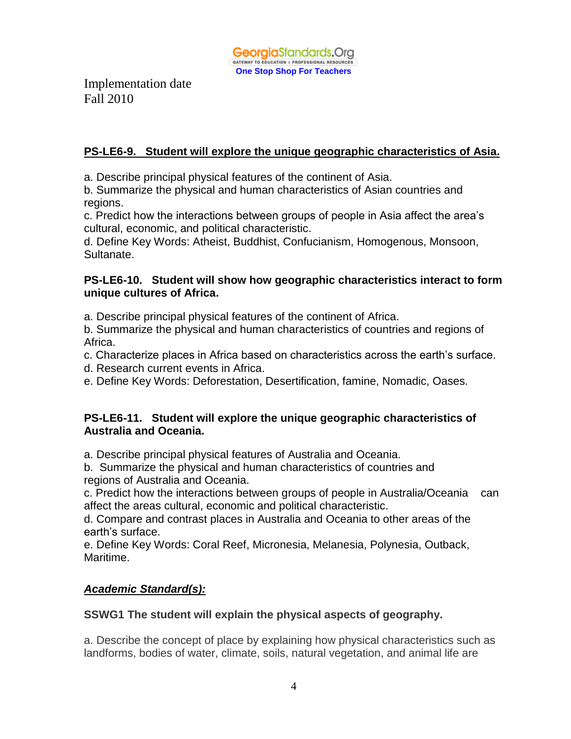**Georgia**Standards.Org GATEWAY TO EDUCATION & PROFESSIONAL RESOURCES **One Stop Shop For Teachers**

Implementation date Fall 2010

## **PS-LE6-9. Student will explore the unique geographic characteristics of Asia.**

a. Describe principal physical features of the continent of Asia.

b. Summarize the physical and human characteristics of Asian countries and regions.

c. Predict how the interactions between groups of people in Asia affect the area's cultural, economic, and political characteristic.

d. Define Key Words: Atheist, Buddhist, Confucianism, Homogenous, Monsoon, Sultanate.

#### **PS-LE6-10. Student will show how geographic characteristics interact to form unique cultures of Africa.**

a. Describe principal physical features of the continent of Africa.

b. Summarize the physical and human characteristics of countries and regions of Africa.

c. Characterize places in Africa based on characteristics across the earth's surface.

d. Research current events in Africa.

e. Define Key Words: Deforestation, Desertification, famine, Nomadic, Oases.

#### **PS-LE6-11. Student will explore the unique geographic characteristics of Australia and Oceania.**

a. Describe principal physical features of Australia and Oceania.

b. Summarize the physical and human characteristics of countries and regions of Australia and Oceania.

c. Predict how the interactions between groups of people in Australia/Oceania can affect the areas cultural, economic and political characteristic.

d. Compare and contrast places in Australia and Oceania to other areas of the earth's surface.

e. Define Key Words: Coral Reef, Micronesia, Melanesia, Polynesia, Outback, Maritime.

## *Academic Standard(s):*

## **SSWG1 The student will explain the physical aspects of geography.**

a. Describe the concept of place by explaining how physical characteristics such as landforms, bodies of water, climate, soils, natural vegetation, and animal life are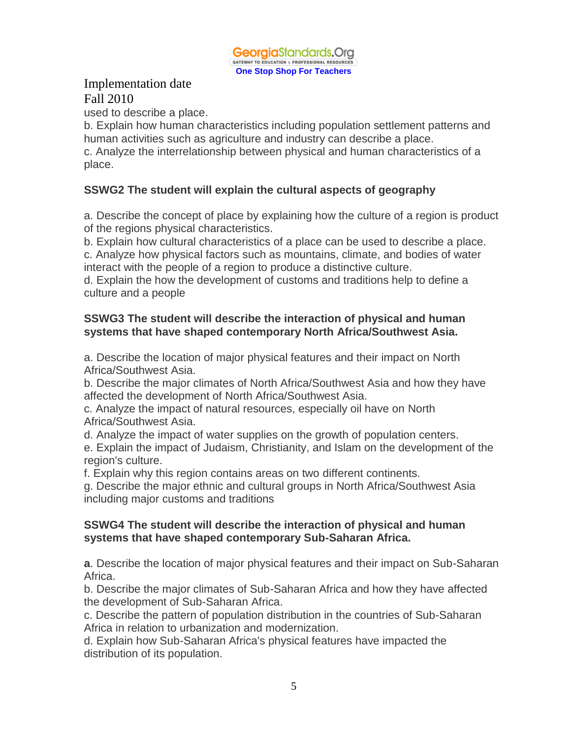

used to describe a place.

b. Explain how human characteristics including population settlement patterns and human activities such as agriculture and industry can describe a place.

c. Analyze the interrelationship between physical and human characteristics of a place.

#### **SSWG2 The student will explain the cultural aspects of geography**

a. Describe the concept of place by explaining how the culture of a region is product of the regions physical characteristics.

b. Explain how cultural characteristics of a place can be used to describe a place.

c. Analyze how physical factors such as mountains, climate, and bodies of water interact with the people of a region to produce a distinctive culture.

d. Explain the how the development of customs and traditions help to define a culture and a people

#### **SSWG3 The student will describe the interaction of physical and human systems that have shaped contemporary North Africa/Southwest Asia.**

a. Describe the location of major physical features and their impact on North Africa/Southwest Asia.

b. Describe the major climates of North Africa/Southwest Asia and how they have affected the development of North Africa/Southwest Asia.

c. Analyze the impact of natural resources, especially oil have on North Africa/Southwest Asia.

d. Analyze the impact of water supplies on the growth of population centers.

e. Explain the impact of Judaism, Christianity, and Islam on the development of the region's culture.

f. Explain why this region contains areas on two different continents.

g. Describe the major ethnic and cultural groups in North Africa/Southwest Asia including major customs and traditions

#### **SSWG4 The student will describe the interaction of physical and human systems that have shaped contemporary Sub-Saharan Africa.**

**a**. Describe the location of major physical features and their impact on Sub-Saharan Africa.

b. Describe the major climates of Sub-Saharan Africa and how they have affected the development of Sub-Saharan Africa.

c. Describe the pattern of population distribution in the countries of Sub-Saharan Africa in relation to urbanization and modernization.

d. Explain how Sub-Saharan Africa's physical features have impacted the distribution of its population.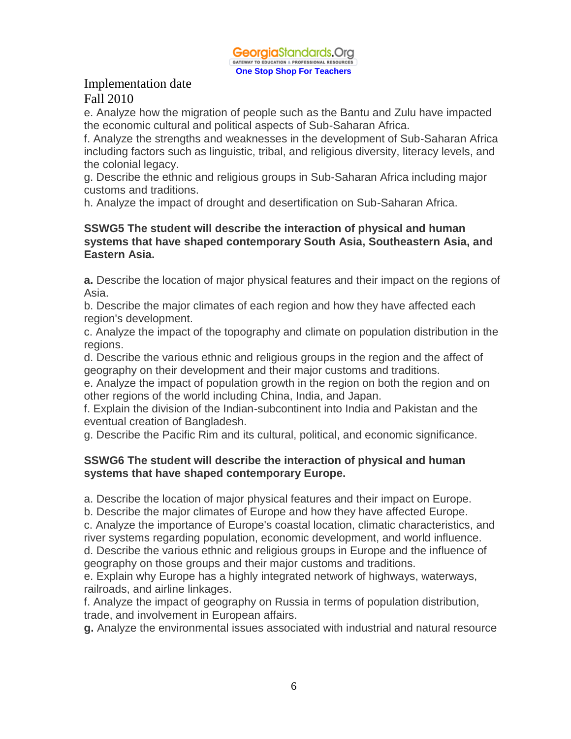**Georgia**Standards.Org GATEWAY TO EDUCATION & PROFESSIONAL RESOURCES **One Stop Shop For Teachers**

## Implementation date Fall 2010

e. Analyze how the migration of people such as the Bantu and Zulu have impacted the economic cultural and political aspects of Sub-Saharan Africa.

f. Analyze the strengths and weaknesses in the development of Sub-Saharan Africa including factors such as linguistic, tribal, and religious diversity, literacy levels, and the colonial legacy.

g. Describe the ethnic and religious groups in Sub-Saharan Africa including major customs and traditions.

h. Analyze the impact of drought and desertification on Sub-Saharan Africa.

#### **SSWG5 The student will describe the interaction of physical and human systems that have shaped contemporary South Asia, Southeastern Asia, and Eastern Asia.**

**a.** Describe the location of major physical features and their impact on the regions of Asia.

b. Describe the major climates of each region and how they have affected each region's development.

c. Analyze the impact of the topography and climate on population distribution in the regions.

d. Describe the various ethnic and religious groups in the region and the affect of geography on their development and their major customs and traditions.

e. Analyze the impact of population growth in the region on both the region and on other regions of the world including China, India, and Japan.

f. Explain the division of the Indian-subcontinent into India and Pakistan and the eventual creation of Bangladesh.

g. Describe the Pacific Rim and its cultural, political, and economic significance.

#### **SSWG6 The student will describe the interaction of physical and human systems that have shaped contemporary Europe.**

a. Describe the location of major physical features and their impact on Europe.

b. Describe the major climates of Europe and how they have affected Europe.

c. Analyze the importance of Europe's coastal location, climatic characteristics, and river systems regarding population, economic development, and world influence.

d. Describe the various ethnic and religious groups in Europe and the influence of geography on those groups and their major customs and traditions.

e. Explain why Europe has a highly integrated network of highways, waterways, railroads, and airline linkages.

f. Analyze the impact of geography on Russia in terms of population distribution, trade, and involvement in European affairs.

**g.** Analyze the environmental issues associated with industrial and natural resource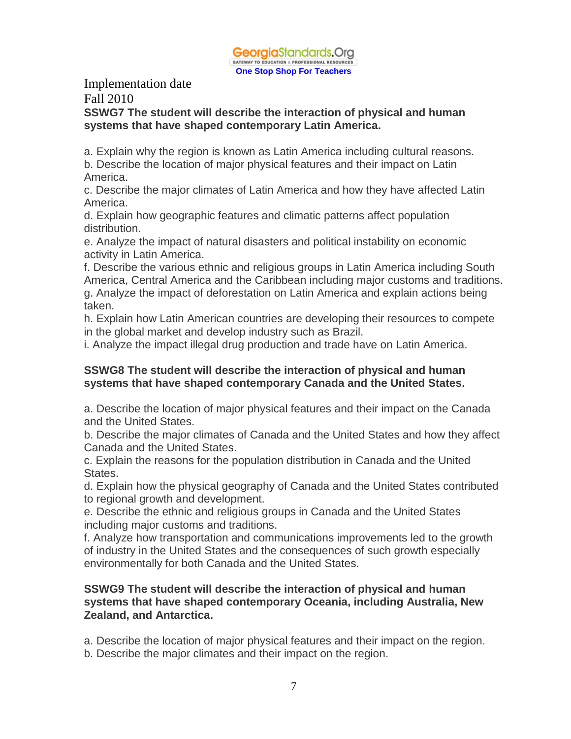

# Implementation date

# Fall 2010

#### **SSWG7 The student will describe the interaction of physical and human systems that have shaped contemporary Latin America.**

a. Explain why the region is known as Latin America including cultural reasons. b. Describe the location of major physical features and their impact on Latin

America.

c. Describe the major climates of Latin America and how they have affected Latin America.

d. Explain how geographic features and climatic patterns affect population distribution.

e. Analyze the impact of natural disasters and political instability on economic activity in Latin America.

f. Describe the various ethnic and religious groups in Latin America including South America, Central America and the Caribbean including major customs and traditions. g. Analyze the impact of deforestation on Latin America and explain actions being taken.

h. Explain how Latin American countries are developing their resources to compete in the global market and develop industry such as Brazil.

i. Analyze the impact illegal drug production and trade have on Latin America.

#### **SSWG8 The student will describe the interaction of physical and human systems that have shaped contemporary Canada and the United States.**

a. Describe the location of major physical features and their impact on the Canada and the United States.

b. Describe the major climates of Canada and the United States and how they affect Canada and the United States.

c. Explain the reasons for the population distribution in Canada and the United States.

d. Explain how the physical geography of Canada and the United States contributed to regional growth and development.

e. Describe the ethnic and religious groups in Canada and the United States including major customs and traditions.

f. Analyze how transportation and communications improvements led to the growth of industry in the United States and the consequences of such growth especially environmentally for both Canada and the United States.

#### **SSWG9 The student will describe the interaction of physical and human systems that have shaped contemporary Oceania, including Australia, New Zealand, and Antarctica.**

a. Describe the location of major physical features and their impact on the region. b. Describe the major climates and their impact on the region.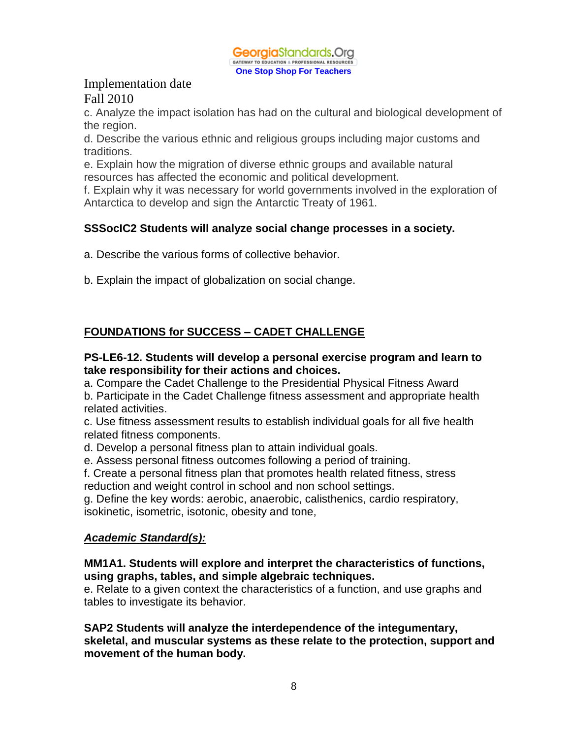

c. Analyze the impact isolation has had on the cultural and biological development of the region.

d. Describe the various ethnic and religious groups including major customs and traditions.

e. Explain how the migration of diverse ethnic groups and available natural resources has affected the economic and political development.

f. Explain why it was necessary for world governments involved in the exploration of Antarctica to develop and sign the Antarctic Treaty of 1961.

## **SSSocIC2 Students will analyze social change processes in a society.**

a. Describe the various forms of collective behavior.

b. Explain the impact of globalization on social change.

## **FOUNDATIONS for SUCCESS – CADET CHALLENGE**

#### **PS-LE6-12. Students will develop a personal exercise program and learn to take responsibility for their actions and choices.**

a. Compare the Cadet Challenge to the Presidential Physical Fitness Award

b. Participate in the Cadet Challenge fitness assessment and appropriate health related activities.

c. Use fitness assessment results to establish individual goals for all five health related fitness components.

d. Develop a personal fitness plan to attain individual goals.

e. Assess personal fitness outcomes following a period of training.

f. Create a personal fitness plan that promotes health related fitness, stress reduction and weight control in school and non school settings.

g. Define the key words: aerobic, anaerobic, calisthenics, cardio respiratory, isokinetic, isometric, isotonic, obesity and tone,

#### *Academic Standard(s):*

**MM1A1. Students will explore and interpret the characteristics of functions, using graphs, tables, and simple algebraic techniques.**

e. Relate to a given context the characteristics of a function, and use graphs and tables to investigate its behavior.

**SAP2 Students will analyze the interdependence of the integumentary, skeletal, and muscular systems as these relate to the protection, support and movement of the human body.**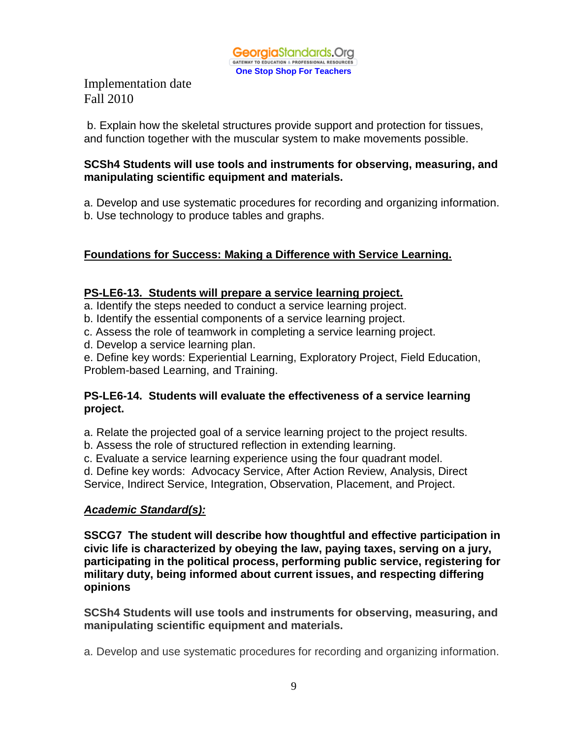

b. Explain how the skeletal structures provide support and protection for tissues, and function together with the muscular system to make movements possible.

#### **SCSh4 Students will use tools and instruments for observing, measuring, and manipulating scientific equipment and materials.**

a. Develop and use systematic procedures for recording and organizing information. b. Use technology to produce tables and graphs.

## **Foundations for Success: Making a Difference with Service Learning.**

#### **PS-LE6-13. Students will prepare a service learning project.**

a. Identify the steps needed to conduct a service learning project.

- b. Identify the essential components of a service learning project.
- c. Assess the role of teamwork in completing a service learning project.
- d. Develop a service learning plan.

e. Define key words: Experiential Learning, Exploratory Project, Field Education, Problem-based Learning, and Training.

#### **PS-LE6-14. Students will evaluate the effectiveness of a service learning project.**

a. Relate the projected goal of a service learning project to the project results.

- b. Assess the role of structured reflection in extending learning.
- c. Evaluate a service learning experience using the four quadrant model.
- d. Define key words: Advocacy Service, After Action Review, Analysis, Direct

Service, Indirect Service, Integration, Observation, Placement, and Project.

#### *Academic Standard(s):*

**SSCG7 The student will describe how thoughtful and effective participation in civic life is characterized by obeying the law, paying taxes, serving on a jury, participating in the political process, performing public service, registering for military duty, being informed about current issues, and respecting differing opinions**

**SCSh4 Students will use tools and instruments for observing, measuring, and manipulating scientific equipment and materials.**

a. Develop and use systematic procedures for recording and organizing information.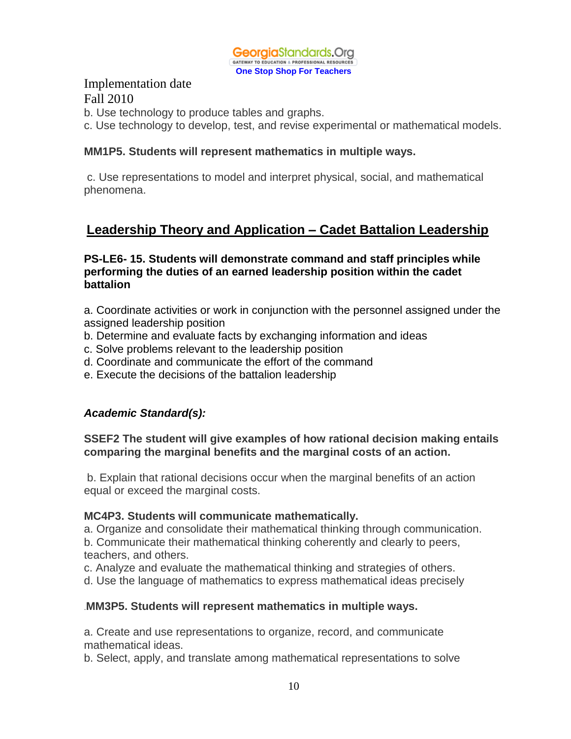

b. Use technology to produce tables and graphs.

c. Use technology to develop, test, and revise experimental or mathematical models.

#### **MM1P5. Students will represent mathematics in multiple ways.**

c. Use representations to model and interpret physical, social, and mathematical phenomena.

# **Leadership Theory and Application – Cadet Battalion Leadership**

#### **PS-LE6- 15. Students will demonstrate command and staff principles while performing the duties of an earned leadership position within the cadet battalion**

a. Coordinate activities or work in conjunction with the personnel assigned under the assigned leadership position

- b. Determine and evaluate facts by exchanging information and ideas
- c. Solve problems relevant to the leadership position
- d. Coordinate and communicate the effort of the command
- e. Execute the decisions of the battalion leadership

#### *Academic Standard(s):*

**SSEF2 The student will give examples of how rational decision making entails comparing the marginal benefits and the marginal costs of an action.**

b. Explain that rational decisions occur when the marginal benefits of an action equal or exceed the marginal costs.

#### **MC4P3. Students will communicate mathematically.**

a. Organize and consolidate their mathematical thinking through communication. b. Communicate their mathematical thinking coherently and clearly to peers, teachers, and others.

c. Analyze and evaluate the mathematical thinking and strategies of others.

d. Use the language of mathematics to express mathematical ideas precisely

#### .**MM3P5. Students will represent mathematics in multiple ways.**

a. Create and use representations to organize, record, and communicate mathematical ideas.

b. Select, apply, and translate among mathematical representations to solve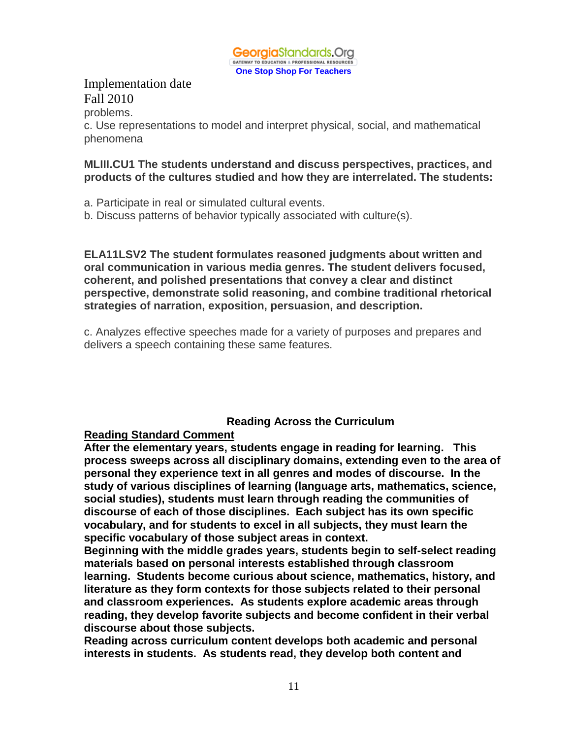

#### Implementation date Fall 2010 problems.

c. Use representations to model and interpret physical, social, and mathematical phenomena

#### **MLIII.CU1 The students understand and discuss perspectives, practices, and products of the cultures studied and how they are interrelated. The students:**

a. Participate in real or simulated cultural events.

b. Discuss patterns of behavior typically associated with culture(s).

**ELA11LSV2 The student formulates reasoned judgments about written and oral communication in various media genres. The student delivers focused, coherent, and polished presentations that convey a clear and distinct perspective, demonstrate solid reasoning, and combine traditional rhetorical strategies of narration, exposition, persuasion, and description.**

c. Analyzes effective speeches made for a variety of purposes and prepares and delivers a speech containing these same features.

#### **Reading Across the Curriculum**

#### **Reading Standard Comment**

**After the elementary years, students engage in reading for learning. This process sweeps across all disciplinary domains, extending even to the area of personal they experience text in all genres and modes of discourse. In the study of various disciplines of learning (language arts, mathematics, science, social studies), students must learn through reading the communities of discourse of each of those disciplines. Each subject has its own specific vocabulary, and for students to excel in all subjects, they must learn the specific vocabulary of those subject areas in context.**

**Beginning with the middle grades years, students begin to self-select reading materials based on personal interests established through classroom learning. Students become curious about science, mathematics, history, and literature as they form contexts for those subjects related to their personal and classroom experiences. As students explore academic areas through reading, they develop favorite subjects and become confident in their verbal discourse about those subjects.**

**Reading across curriculum content develops both academic and personal interests in students. As students read, they develop both content and**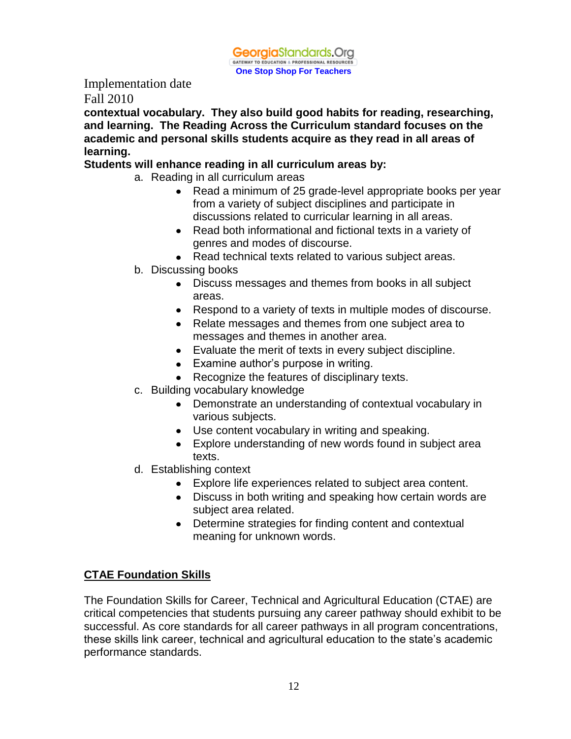**Georgia**Standards.Org GATEWAY TO EDUCATION & PROFESSIONAL RESOURCES **One Stop Shop For Teachers**

Implementation date Fall 2010

**contextual vocabulary. They also build good habits for reading, researching, and learning. The Reading Across the Curriculum standard focuses on the academic and personal skills students acquire as they read in all areas of learning.**

## **Students will enhance reading in all curriculum areas by:**

- a. Reading in all curriculum areas
	- Read a minimum of 25 grade-level appropriate books per year from a variety of subject disciplines and participate in discussions related to curricular learning in all areas.
	- Read both informational and fictional texts in a variety of genres and modes of discourse.
	- Read technical texts related to various subject areas.
- b. Discussing books
	- Discuss messages and themes from books in all subject areas.
	- Respond to a variety of texts in multiple modes of discourse.
	- Relate messages and themes from one subject area to messages and themes in another area.
	- Evaluate the merit of texts in every subject discipline.
	- Examine author's purpose in writing.
	- Recognize the features of disciplinary texts.
- c. Building vocabulary knowledge
	- Demonstrate an understanding of contextual vocabulary in various subjects.
	- Use content vocabulary in writing and speaking.
	- Explore understanding of new words found in subject area texts.
- d. Establishing context
	- Explore life experiences related to subject area content.
	- Discuss in both writing and speaking how certain words are subject area related.
	- Determine strategies for finding content and contextual meaning for unknown words.

#### **CTAE Foundation Skills**

The Foundation Skills for Career, Technical and Agricultural Education (CTAE) are critical competencies that students pursuing any career pathway should exhibit to be successful. As core standards for all career pathways in all program concentrations, these skills link career, technical and agricultural education to the state's academic performance standards.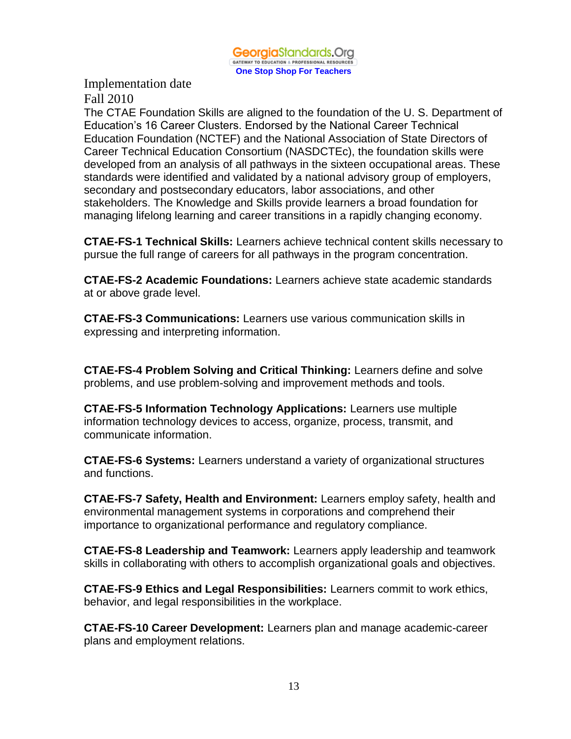

The CTAE Foundation Skills are aligned to the foundation of the U. S. Department of Education's 16 Career Clusters. Endorsed by the National Career Technical Education Foundation (NCTEF) and the National Association of State Directors of Career Technical Education Consortium (NASDCTEc), the foundation skills were developed from an analysis of all pathways in the sixteen occupational areas. These standards were identified and validated by a national advisory group of employers, secondary and postsecondary educators, labor associations, and other stakeholders. The Knowledge and Skills provide learners a broad foundation for managing lifelong learning and career transitions in a rapidly changing economy.

**CTAE-FS-1 Technical Skills:** Learners achieve technical content skills necessary to pursue the full range of careers for all pathways in the program concentration.

**CTAE-FS-2 Academic Foundations:** Learners achieve state academic standards at or above grade level.

**CTAE-FS-3 Communications:** Learners use various communication skills in expressing and interpreting information.

**CTAE-FS-4 Problem Solving and Critical Thinking:** Learners define and solve problems, and use problem-solving and improvement methods and tools.

**CTAE-FS-5 Information Technology Applications:** Learners use multiple information technology devices to access, organize, process, transmit, and communicate information.

**CTAE-FS-6 Systems:** Learners understand a variety of organizational structures and functions.

**CTAE-FS-7 Safety, Health and Environment:** Learners employ safety, health and environmental management systems in corporations and comprehend their importance to organizational performance and regulatory compliance.

**CTAE-FS-8 Leadership and Teamwork:** Learners apply leadership and teamwork skills in collaborating with others to accomplish organizational goals and objectives.

**CTAE-FS-9 Ethics and Legal Responsibilities:** Learners commit to work ethics, behavior, and legal responsibilities in the workplace.

**CTAE-FS-10 Career Development:** Learners plan and manage academic-career plans and employment relations.